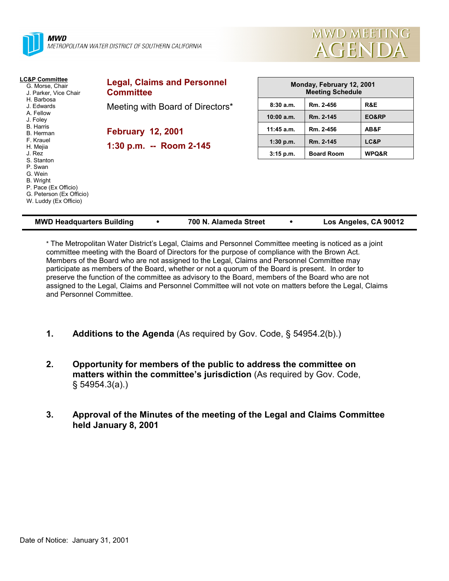| <b>MWD</b>                                                 | METROPOLITAN WATER DISTRICT OF SOUTHERN CALIFORNIA     |                            | <b>MWD MEETI</b><br>AGEND                            |                  |
|------------------------------------------------------------|--------------------------------------------------------|----------------------------|------------------------------------------------------|------------------|
| LC&P Committee<br>G. Morse, Chair<br>J. Parker, Vice Chair | <b>Legal, Claims and Personnel</b><br><b>Committee</b> |                            | Monday, February 12, 2001<br><b>Meeting Schedule</b> |                  |
| H. Barbosa<br>J. Edwards<br>A. Fellow                      | Meeting with Board of Directors*                       | 8:30a.m.                   | Rm. 2-456                                            | R&E              |
| J. Foley<br><b>B.</b> Harris                               | <b>February 12, 2001</b>                               | $10:00$ a.m.<br>11:45 a.m. | Rm. 2-145<br>Rm. 2-456                               | EO&RP<br>AB&F    |
| B. Herman<br>F. Krauel<br>H. Mejia                         | 1:30 p.m. -- Room 2-145                                | $1:30$ p.m.                | Rm. 2-145                                            | LC&P             |
| J. Rez<br>S. Stanton<br>P. Swan<br>G. Wein                 |                                                        | 3:15 p.m.                  | <b>Board Room</b>                                    | <b>WPQ&amp;R</b> |

| <b>MWD Headquarters Building</b> | 700 N. Alameda Street | Los Angeles, CA 90012 |
|----------------------------------|-----------------------|-----------------------|
|                                  |                       |                       |

**VD MEETING** 

\* The Metropolitan Water District's Legal, Claims and Personnel Committee meeting is noticed as a joint committee meeting with the Board of Directors for the purpose of compliance with the Brown Act. Members of the Board who are not assigned to the Legal, Claims and Personnel Committee may participate as members of the Board, whether or not a quorum of the Board is present. In order to preserve the function of the committee as advisory to the Board, members of the Board who are not assigned to the Legal, Claims and Personnel Committee will not vote on matters before the Legal, Claims and Personnel Committee.

- **1. Additions to the Agenda** (As required by Gov. Code, § 54954.2(b).)
- **2. Opportunity for members of the public to address the committee on matters within the committee's jurisdiction** (As required by Gov. Code, § 54954.3(a).)
- **3. Approval of the Minutes of the meeting of the Legal and Claims Committee held January 8, 2001**

B. Wright

P. Pace (Ex Officio) G. Peterson (Ex Officio) W. Luddy (Ex Officio)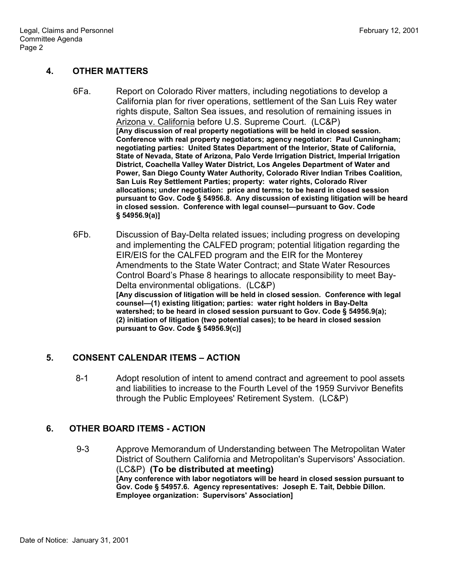## **4. OTHER MATTERS**

- 6Fa. Report on Colorado River matters, including negotiations to develop a California plan for river operations, settlement of the San Luis Rey water rights dispute, Salton Sea issues, and resolution of remaining issues in Arizona v. California before U.S. Supreme Court. (LC&P) **[Any discussion of real property negotiations will be held in closed session. Conference with real property negotiators; agency negotiator: Paul Cunningham; negotiating parties: United States Department of the Interior, State of California, State of Nevada, State of Arizona, Palo Verde Irrigation District, Imperial Irrigation District, Coachella Valley Water District, Los Angeles Department of Water and Power, San Diego County Water Authority, Colorado River Indian Tribes Coalition, San Luis Rey Settlement Parties; property: water rights, Colorado River allocations; under negotiation: price and terms; to be heard in closed session pursuant to Gov. Code § 54956.8. Any discussion of existing litigation will be heard in closed session. Conference with legal counsel—pursuant to Gov. Code § 54956.9(a)]**
- 6Fb. Discussion of Bay-Delta related issues; including progress on developing and implementing the CALFED program; potential litigation regarding the EIR/EIS for the CALFED program and the EIR for the Monterey Amendments to the State Water Contract; and State Water Resources Control Board's Phase 8 hearings to allocate responsibility to meet Bay-Delta environmental obligations. (LC&P) **[Any discussion of litigation will be held in closed session. Conference with legal counsel—(1) existing litigation; parties: water right holders in Bay-Delta watershed; to be heard in closed session pursuant to Gov. Code § 54956.9(a); (2) initiation of litigation (two potential cases); to be heard in closed session pursuant to Gov. Code § 54956.9(c)]**

# **5. CONSENT CALENDAR ITEMS – ACTION**

8-1 Adopt resolution of intent to amend contract and agreement to pool assets and liabilities to increase to the Fourth Level of the 1959 Survivor Benefits through the Public Employees' Retirement System. (LC&P)

# **6. OTHER BOARD ITEMS - ACTION**

9-3 Approve Memorandum of Understanding between The Metropolitan Water District of Southern California and Metropolitan's Supervisors' Association. (LC&P) **(To be distributed at meeting) [Any conference with labor negotiators will be heard in closed session pursuant to Gov. Code § 54957.6. Agency representatives: Joseph E. Tait, Debbie Dillon. Employee organization: Supervisors' Association]**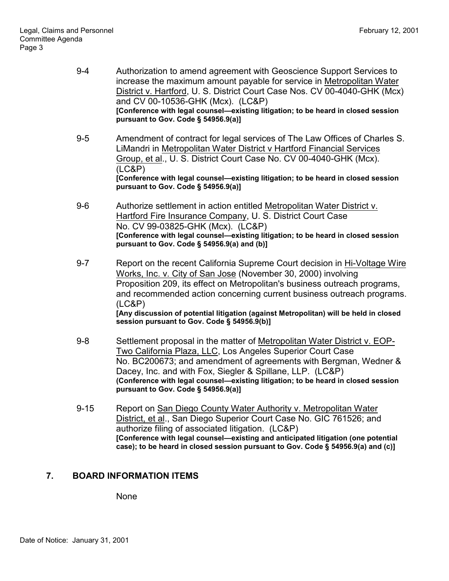- 9-4 Authorization to amend agreement with Geoscience Support Services to increase the maximum amount payable for service in Metropolitan Water District v. Hartford, U. S. District Court Case Nos. CV 00-4040-GHK (Mcx) and CV 00-10536-GHK (Mcx). (LC&P) **[Conference with legal counsel—existing litigation; to be heard in closed session pursuant to Gov. Code § 54956.9(a)]**
- 9-5 Amendment of contract for legal services of The Law Offices of Charles S. LiMandri in Metropolitan Water District v Hartford Financial Services Group, et al., U. S. District Court Case No. CV 00-4040-GHK (Mcx). (LC&P) **[Conference with legal counsel—existing litigation; to be heard in closed session pursuant to Gov. Code § 54956.9(a)]**
- 9-6 Authorize settlement in action entitled Metropolitan Water District v. Hartford Fire Insurance Company, U. S. District Court Case No. CV 99-03825-GHK (Mcx). (LC&P) **[Conference with legal counsel—existing litigation; to be heard in closed session pursuant to Gov. Code § 54956.9(a) and (b)]**
- 9-7 Report on the recent California Supreme Court decision in Hi-Voltage Wire Works, Inc. v. City of San Jose (November 30, 2000) involving Proposition 209, its effect on Metropolitan's business outreach programs, and recommended action concerning current business outreach programs. (LC&P) **[Any discussion of potential litigation (against Metropolitan) will be held in closed session pursuant to Gov. Code § 54956.9(b)]**
- 9-8 Settlement proposal in the matter of Metropolitan Water District v. EOP-Two California Plaza, LLC, Los Angeles Superior Court Case No. BC200673; and amendment of agreements with Bergman, Wedner & Dacey, Inc. and with Fox, Siegler & Spillane, LLP. (LC&P) **(Conference with legal counsel—existing litigation; to be heard in closed session pursuant to Gov. Code § 54956.9(a)]**
- 9-15 Report on San Diego County Water Authority v. Metropolitan Water District, et al., San Diego Superior Court Case No. GIC 761526; and authorize filing of associated litigation. (LC&P) **[Conference with legal counsel—existing and anticipated litigation (one potential case); to be heard in closed session pursuant to Gov. Code § 54956.9(a) and (c)]**

## **7. BOARD INFORMATION ITEMS**

None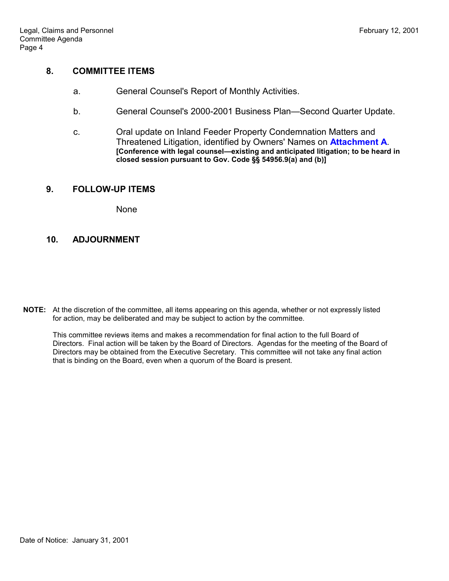#### **8. COMMITTEE ITEMS**

- a. General Counsel's Report of Monthly Activities.
- b. General Counsel's 2000-2001 Business Plan—Second Quarter Update.
- c. Oral update on Inland Feeder Property Condemnation Matters and Threatened Litigation, identified by Owners' Names on **Attachment A**. **[Conference with legal counsel—existing and anticipated litigation; to be heard in closed session pursuant to Gov. Code §§ 54956.9(a) and (b)]**

#### **9. FOLLOW-UP ITEMS**

**None** 

## **10. ADJOURNMENT**

**NOTE:** At the discretion of the committee, all items appearing on this agenda, whether or not expressly listed for action, may be deliberated and may be subject to action by the committee.

This committee reviews items and makes a recommendation for final action to the full Board of Directors. Final action will be taken by the Board of Directors. Agendas for the meeting of the Board of Directors may be obtained from the Executive Secretary. This committee will not take any final action that is binding on the Board, even when a quorum of the Board is present.